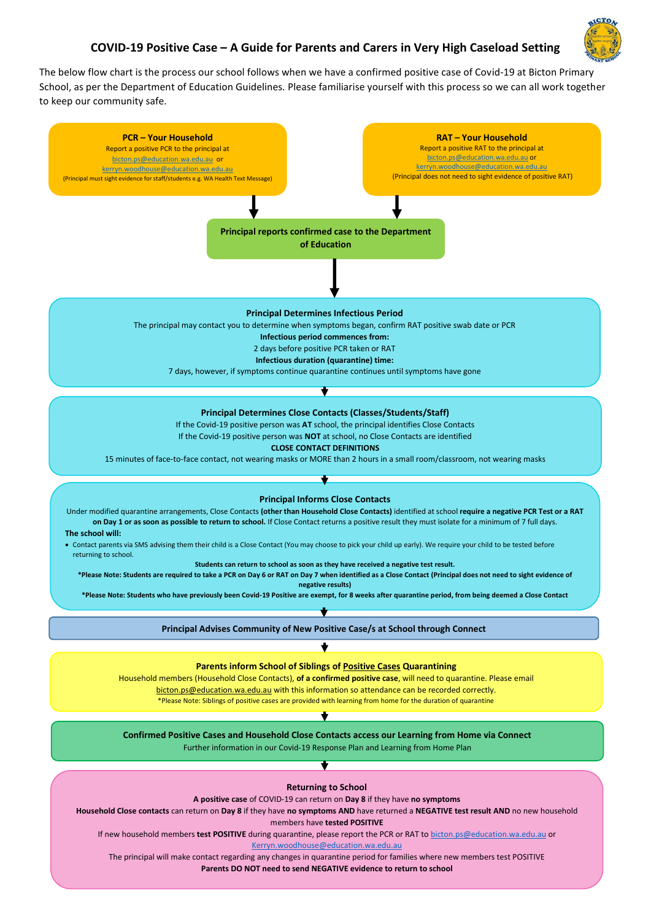## **COVID-19 Positive Case – A Guide for Parents and Carers in Very High Caseload Setting**



The below flow chart is the process our school follows when we have a confirmed positive case of Covid-19 at Bicton Primary School, as per the Department of Education Guidelines. Please familiarise yourself with this process so we can all work together to keep our community safe.

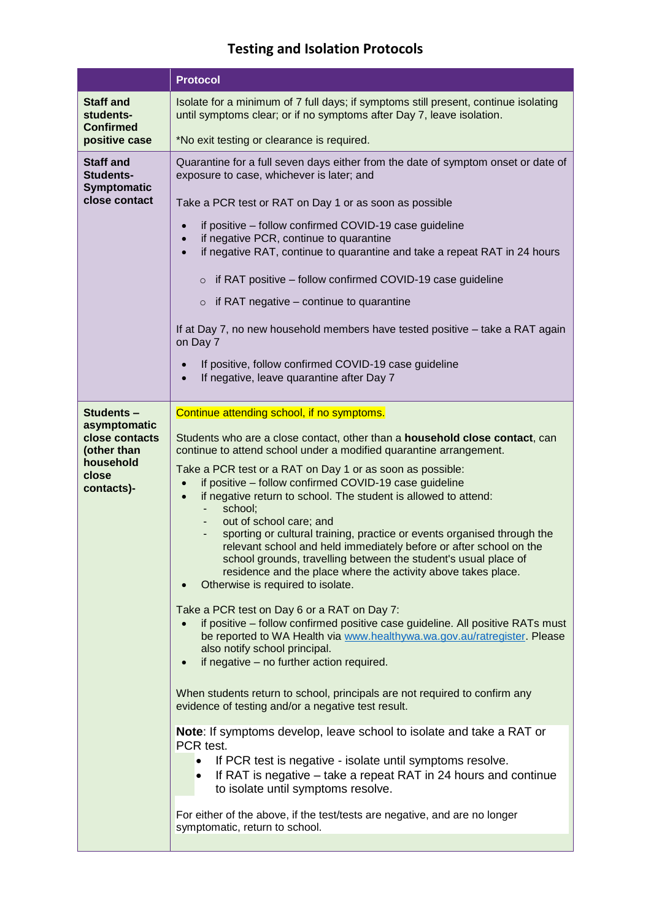## **Testing and Isolation Protocols**

|                                                                                                | <b>Protocol</b>                                                                                                                                                                                                                                                                                                                                                                                                                                                                                                                                                                                                                                                                                                                                                                                                                                                                                                                                                                                                                                                                                                                                                                                                                                                                                                                                                                                                                                                                                                                                                                               |
|------------------------------------------------------------------------------------------------|-----------------------------------------------------------------------------------------------------------------------------------------------------------------------------------------------------------------------------------------------------------------------------------------------------------------------------------------------------------------------------------------------------------------------------------------------------------------------------------------------------------------------------------------------------------------------------------------------------------------------------------------------------------------------------------------------------------------------------------------------------------------------------------------------------------------------------------------------------------------------------------------------------------------------------------------------------------------------------------------------------------------------------------------------------------------------------------------------------------------------------------------------------------------------------------------------------------------------------------------------------------------------------------------------------------------------------------------------------------------------------------------------------------------------------------------------------------------------------------------------------------------------------------------------------------------------------------------------|
| <b>Staff and</b><br>students-<br><b>Confirmed</b><br>positive case                             | Isolate for a minimum of 7 full days; if symptoms still present, continue isolating<br>until symptoms clear; or if no symptoms after Day 7, leave isolation.<br>*No exit testing or clearance is required.                                                                                                                                                                                                                                                                                                                                                                                                                                                                                                                                                                                                                                                                                                                                                                                                                                                                                                                                                                                                                                                                                                                                                                                                                                                                                                                                                                                    |
| <b>Staff and</b><br><b>Students-</b><br>Symptomatic<br>close contact                           | Quarantine for a full seven days either from the date of symptom onset or date of<br>exposure to case, whichever is later; and<br>Take a PCR test or RAT on Day 1 or as soon as possible<br>if positive - follow confirmed COVID-19 case guideline<br>$\bullet$<br>if negative PCR, continue to quarantine<br>$\bullet$<br>if negative RAT, continue to quarantine and take a repeat RAT in 24 hours<br>$\bullet$<br>$\circ$ if RAT positive – follow confirmed COVID-19 case guideline<br>$\circ$ if RAT negative – continue to quarantine<br>If at Day 7, no new household members have tested positive - take a RAT again<br>on Day 7<br>If positive, follow confirmed COVID-19 case guideline<br>If negative, leave quarantine after Day 7                                                                                                                                                                                                                                                                                                                                                                                                                                                                                                                                                                                                                                                                                                                                                                                                                                                |
| Students-<br>asymptomatic<br>close contacts<br>(other than<br>household<br>close<br>contacts)- | Continue attending school, if no symptoms.<br>Students who are a close contact, other than a household close contact, can<br>continue to attend school under a modified quarantine arrangement.<br>Take a PCR test or a RAT on Day 1 or as soon as possible:<br>if positive - follow confirmed COVID-19 case guideline<br>if negative return to school. The student is allowed to attend:<br>$\bullet$<br>school;<br>out of school care; and<br>sporting or cultural training, practice or events organised through the<br>relevant school and held immediately before or after school on the<br>school grounds, travelling between the student's usual place of<br>residence and the place where the activity above takes place.<br>Otherwise is required to isolate.<br>Take a PCR test on Day 6 or a RAT on Day 7:<br>if positive – follow confirmed positive case guideline. All positive RATs must<br>be reported to WA Health via www.healthywa.wa.gov.au/ratregister. Please<br>also notify school principal.<br>if negative - no further action required.<br>When students return to school, principals are not required to confirm any<br>evidence of testing and/or a negative test result.<br>Note: If symptoms develop, leave school to isolate and take a RAT or<br>PCR test.<br>If PCR test is negative - isolate until symptoms resolve.<br>If RAT is negative – take a repeat RAT in 24 hours and continue<br>$\bullet$<br>to isolate until symptoms resolve.<br>For either of the above, if the test/tests are negative, and are no longer<br>symptomatic, return to school. |